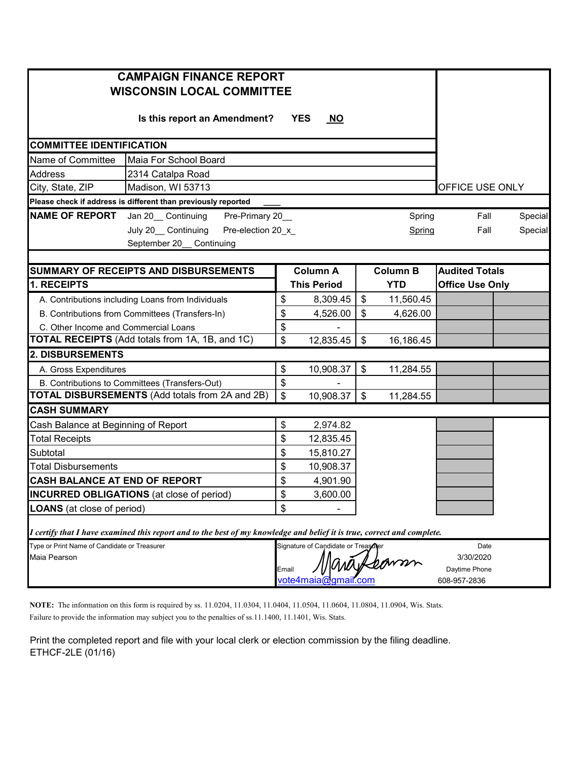| <b>CAMPAIGN FINANCE REPORT</b><br><b>WISCONSIN LOCAL COMMITTEE</b>                                                      |                                                                      |                |                                     |               |                 |                               |  |  |  |  |  |
|-------------------------------------------------------------------------------------------------------------------------|----------------------------------------------------------------------|----------------|-------------------------------------|---------------|-----------------|-------------------------------|--|--|--|--|--|
|                                                                                                                         | Is this report an Amendment?                                         |                | <b>YES</b><br>$\overline{NO}$       |               |                 |                               |  |  |  |  |  |
| <b>COMMITTEE IDENTIFICATION</b>                                                                                         |                                                                      |                |                                     |               |                 |                               |  |  |  |  |  |
| Name of Committee<br>Maia For School Board                                                                              |                                                                      |                |                                     |               |                 |                               |  |  |  |  |  |
| <b>Address</b><br>2314 Catalpa Road                                                                                     |                                                                      |                |                                     |               |                 |                               |  |  |  |  |  |
| City, State, ZIP<br>Madison, WI 53713                                                                                   |                                                                      |                |                                     |               |                 | OFFICE USE ONLY               |  |  |  |  |  |
| Please check if address is different than previously reported                                                           |                                                                      |                |                                     |               |                 |                               |  |  |  |  |  |
| <b>NAME OF REPORT</b>                                                                                                   | Pre-Primary 20_<br>Jan 20 Continuing<br>Spring<br>Pre-election 20_x_ |                |                                     |               |                 |                               |  |  |  |  |  |
| July 20__Continuing                                                                                                     | Spring                                                               | Fall           |                                     | Special       |                 |                               |  |  |  |  |  |
| September 20_ Continuing                                                                                                |                                                                      |                |                                     |               |                 |                               |  |  |  |  |  |
|                                                                                                                         |                                                                      |                |                                     |               |                 |                               |  |  |  |  |  |
| <b>SUMMARY OF RECEIPTS AND DISBURSEMENTS</b>                                                                            |                                                                      |                | <b>Column A</b>                     |               | <b>Column B</b> | <b>Audited Totals</b>         |  |  |  |  |  |
| 1. RECEIPTS                                                                                                             |                                                                      |                | <b>This Period</b>                  |               | <b>YTD</b>      | <b>Office Use Only</b>        |  |  |  |  |  |
| A. Contributions including Loans from Individuals                                                                       |                                                                      | \$             | 8,309.45                            | $\frac{1}{2}$ | 11,560.45       |                               |  |  |  |  |  |
| B. Contributions from Committees (Transfers-In)                                                                         |                                                                      | \$             | 4,526.00                            | $\frac{1}{2}$ | 4,626.00        |                               |  |  |  |  |  |
| C. Other Income and Commercial Loans                                                                                    |                                                                      | \$             |                                     |               |                 |                               |  |  |  |  |  |
| <b>TOTAL RECEIPTS</b> (Add totals from 1A, 1B, and 1C)                                                                  |                                                                      | \$             | 12,835.45                           | \$            | 16,186.45       |                               |  |  |  |  |  |
| <b>2. DISBURSEMENTS</b>                                                                                                 |                                                                      |                |                                     |               |                 |                               |  |  |  |  |  |
| A. Gross Expenditures                                                                                                   |                                                                      | \$             | 10,908.37                           | \$            | 11,284.55       |                               |  |  |  |  |  |
| B. Contributions to Committees (Transfers-Out)                                                                          |                                                                      | \$             |                                     |               |                 |                               |  |  |  |  |  |
| <b>TOTAL DISBURSEMENTS</b> (Add totals from 2A and 2B)                                                                  |                                                                      | $\mathfrak{S}$ | 10,908.37                           | $\frac{1}{2}$ | 11,284.55       |                               |  |  |  |  |  |
| <b>CASH SUMMARY</b>                                                                                                     |                                                                      |                |                                     |               |                 |                               |  |  |  |  |  |
| Cash Balance at Beginning of Report                                                                                     |                                                                      | \$             | 2,974.82                            |               |                 |                               |  |  |  |  |  |
| <b>Total Receipts</b>                                                                                                   |                                                                      | \$             | 12,835.45                           |               |                 |                               |  |  |  |  |  |
| Subtotal                                                                                                                |                                                                      | \$             | 15,810.27                           |               |                 |                               |  |  |  |  |  |
| <b>Total Disbursements</b>                                                                                              |                                                                      | \$             | 10,908.37                           |               |                 |                               |  |  |  |  |  |
| CASH BALANCE AT END OF REPORT                                                                                           |                                                                      | \$             | 4,901.90                            |               |                 |                               |  |  |  |  |  |
| <b>INCURRED OBLIGATIONS</b> (at close of period)                                                                        |                                                                      | \$             | 3,600.00                            |               |                 |                               |  |  |  |  |  |
| <b>LOANS</b> (at close of period)                                                                                       |                                                                      | \$             |                                     |               |                 |                               |  |  |  |  |  |
| I certify that I have examined this report and to the best of my knowledge and belief it is true, correct and complete. |                                                                      |                |                                     |               |                 |                               |  |  |  |  |  |
| Type or Print Name of Candidate or Treasurer                                                                            |                                                                      |                | Signature of Candidate or Treasoner |               |                 | Date                          |  |  |  |  |  |
| Maia Pearson                                                                                                            |                                                                      |                |                                     |               |                 | 3/30/2020                     |  |  |  |  |  |
|                                                                                                                         |                                                                      | Email          |                                     |               |                 | Daytime Phone<br>608-957-2836 |  |  |  |  |  |
|                                                                                                                         |                                                                      |                | vote4maia@gmail.com                 |               |                 |                               |  |  |  |  |  |

**NOTE:** The information on this form is required by ss. 11.0204, 11.0304, 11.0404, 11.0504, 11.0604, 11.0804, 11.0904, Wis. Stats. Failure to provide the information may subject you to the penalties of ss.11.1400, 11.1401, Wis. Stats.

Print the completed report and file with your local clerk or election commission by the filing deadline. ETHCF-2LE (01/16)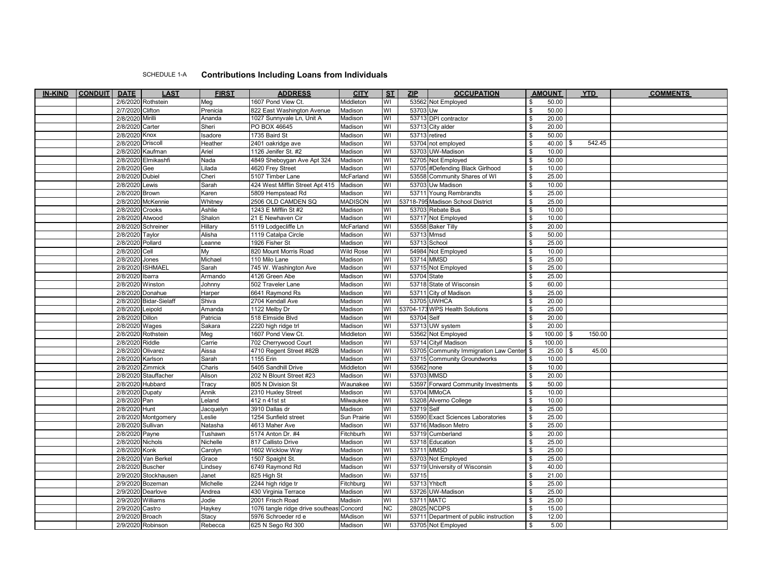## SCHEDULE 1-A **Contributions Including Loans from Individuals**

| <b>IN-KIND</b> | <b>CONDUIT</b> | <b>DATE</b>       | <b>LAST</b>            | <b>FIRST</b> | <b>ADDRESS</b>                           | <b>CITY</b>      | S <sub>T</sub>          | <b>ZIP</b>  | <b>OCCUPATION</b>                         | <b>AMOUNT</b>          | <b>YTD</b> | <b>COMMENTS</b> |
|----------------|----------------|-------------------|------------------------|--------------|------------------------------------------|------------------|-------------------------|-------------|-------------------------------------------|------------------------|------------|-----------------|
|                |                |                   | 2/6/2020 Rothstein     | Meg          | 1607 Pond View Ct.                       | Middleton        | WI                      |             | 53562 Not Employed                        | 50.00                  |            |                 |
|                |                | 2/7/2020 Clifton  |                        | Prenicia     | 822 East Washington Avenue               | Madison          | š                       | 53703 Uw    |                                           | 50.00<br>\$            |            |                 |
|                |                | 2/8/2020 Mirilli  |                        | Ananda       | 1027 Sunnyvale Ln, Unit A                | Madison          | WI                      |             | 53713 DPI contractor                      | \$<br>20.00            |            |                 |
|                |                | 2/8/2020 Carter   |                        | Sheri        | PO BOX 46645                             | Madison          | WI                      |             | 53713 City alder                          | \$<br>20.00            |            |                 |
|                |                | 2/8/2020 Knox     |                        | Isadore      | 1735 Baird St                            | Madison          | M                       |             | 53713 retired                             | 50.00<br>\$            |            |                 |
|                |                | 2/8/2020 Driscoll |                        | Heather      | 2401 oakridge ave                        | Madison          | M                       |             | 53704 not employed                        | $40.00$ \$<br>\$       | 542.45     |                 |
|                |                |                   | 2/8/2020 Kaufman       | Ariel        | 1126 Jenifer St. #2                      | Madison          | $\overline{\mathsf{N}}$ |             | 53703 UW-Madison                          | \$<br>10.00            |            |                 |
|                |                |                   | 2/8/2020 Elmikashfi    | Nada         | 4849 Sheboygan Ave Apt 324               | Madison          | WI                      |             | 52705 Not Employed                        | 50.00<br>\$            |            |                 |
|                |                | 2/8/2020 Gee      |                        | Lilada       | 4620 Frey Street                         | Madison          | WI                      |             | 53705 #Defending Black Girlhood           | 10.00<br>\$            |            |                 |
|                |                | 2/8/2020 Dubiel   |                        | Cheri        | 5107 Timber Lane                         | McFarland        | WI                      |             | 53558 Community Shares of WI              | 25.00<br>\$            |            |                 |
|                |                | 2/8/2020 Lewis    |                        | Sarah        | 424 West Mifflin Street Apt 415          | Madison          | WI                      |             | 53703 Uw Madison                          | 10.00<br>\$            |            |                 |
|                |                | 2/8/2020 Brown    |                        | Karen        | 5809 Hempstead Rd                        | Madison          | <u>l</u>                |             | 53711 Young Rembrandts                    | 25.00<br>\$            |            |                 |
|                |                |                   | 2/8/2020 McKennie      | Whitney      | 2506 OLD CAMDEN SQ                       | <b>MADISON</b>   | WI                      |             | 53718-795 Madison School District         | 25.00<br>\$            |            |                 |
|                |                | 2/8/2020 Crooks   |                        | Ashlie       | 1243 E Mifflin St #2                     | Madison          | WI                      |             | 53703 Rebate Bus                          | \$<br>10.00            |            |                 |
|                |                | 2/8/2020 Atwood   |                        | Shalon       | 21 E Newhaven Cir                        | Madison          | <u>l</u>                |             | 53717 Not Employed                        | 10.00<br>\$            |            |                 |
|                |                |                   | 2/8/2020 Schreiner     | Hillary      | 5119 Lodgecliffe Ln                      | McFarland        | WI                      |             | 53558 Baker Tilly                         | 20.00<br>\$            |            |                 |
|                |                | 2/8/2020 Taylor   |                        | Alisha       | 1119 Catalpa Circle                      | Madison          | WI                      | 53713 Mmsd  |                                           | 50.00<br>\$            |            |                 |
|                |                | 2/8/2020 Pollard  |                        | Leanne       | 1926 Fisher St                           | Madison          | <u>l</u>                |             | 53713 School                              | 25.00<br>\$            |            |                 |
|                |                | 2/8/2020 Cell     |                        | My           | 820 Mount Morris Road                    | <b>Wild Rose</b> | WI                      |             | 54984 Not Employed                        | 10.00<br>\$            |            |                 |
|                |                | 2/8/2020 Jones    |                        | Michael      | 110 Milo Lane                            | Madison          | WI                      |             | 53714 MMSD                                | 25.00<br>\$            |            |                 |
|                |                |                   | 2/8/2020 ISHMAEL       | Sarah        | 745 W. Washington Ave                    | Madison          | <u>l</u>                |             | 53715 Not Employed                        | \$<br>25.00            |            |                 |
|                |                | 2/8/2020 Ibarra   |                        | Armando      | 4126 Green Abe                           | Madison          | M                       | 53704 State |                                           | 25.00<br>\$            |            |                 |
|                |                | 2/8/2020 Winston  |                        | Johnny       | 502 Traveler Lane                        | Madison          | WI                      |             | 53718 State of Wisconsin                  | 60.00<br>\$            |            |                 |
|                |                |                   | 2/8/2020 Donahue       | Harper       | 6641 Raymond Rs                          | Madison          | WI                      |             | 53711 City of Madison                     | 25.00<br>\$            |            |                 |
|                |                |                   | 2/8/2020 Bidar-Sielaff | Shiva        | 2704 Kendall Ave                         | Madison          | W١                      |             | 53705 UWHCA                               | 20.00<br>\$            |            |                 |
|                |                | 2/8/2020 Leipold  |                        | Amanda       | 1122 Melby Dr                            | Madison          | WI                      |             | 53704-173 WPS Health Solutions            | \$<br>25.00            |            |                 |
|                |                | 2/8/2020 Dillon   |                        | Patricia     | 518 Elmside Blvd                         | Madison          | WI                      | 53704 Self  |                                           | 20.00<br>\$            |            |                 |
|                |                | 2/8/2020 Wages    |                        | Sakara       | 2220 high ridge trl                      | Madison          | WI                      |             | 53713 UW system                           | 20.00<br>\$            |            |                 |
|                |                |                   | 2/8/2020 Rothstein     | Meg          | 1607 Pond View Ct.                       | Middleton        | M                       |             | 53562 Not Employed                        | $100.00$ \ \$<br>\$    | 150.00     |                 |
|                |                | 2/8/2020 Riddle   |                        | Carrie       | 702 Cherrywood Court                     | Madison          | WI                      |             | 53714 Cityif Madison                      | 100.00<br>\$           |            |                 |
|                |                | 2/8/2020 Olivarez |                        | Aissa        | 4710 Regent Street #82B                  | Madison          | WI                      |             | 53705 Community Immigration Law Center \$ | 25.00                  | 45.00      |                 |
|                |                | 2/8/2020 Karlson  |                        | Sarah        | 1155 Erin                                | Madison          | $\overline{\mathsf{N}}$ |             | 53715 Community Groundworks               | 10.00                  |            |                 |
|                |                |                   | 2/8/2020 Zimmick       | Charis       | 5405 Sandhill Drive                      | Middleton        | WI                      | 53562 none  |                                           | 10.00<br>\$            |            |                 |
|                |                |                   | 2/8/2020 Stauffacher   | Alison       | 202 N Blount Street #23                  | Madison          | WI                      |             | 53703 MMSD                                | 20.00<br><b>\$</b>     |            |                 |
|                |                |                   | 2/8/2020 Hubbard       | Tracy        | 805 N Division St                        | Waunakee         | WI                      |             | 53597 Forward Community Investments       | 50.00<br>\$            |            |                 |
|                |                | 2/8/2020 Dupaty   |                        | Annik        | 2310 Huxley Street                       | Madison          | WI                      |             | 53704 MMoCA                               | 10.00<br>\$            |            |                 |
|                |                | 2/8/2020 Pan      |                        | Leland       | 412 n 41st st                            | Milwaukee        | WI                      |             | 53208 Alverno College                     | 10.00<br>\$            |            |                 |
|                |                | 2/8/2020 Hunt     |                        | Jacquelyn    | 3910 Dallas dr                           | Madison          | $\overline{\mathsf{N}}$ | 53719 Self  |                                           | 25.00<br>\$            |            |                 |
|                |                |                   | 2/8/2020 Montgomery    | Leslie       | 1254 Sunfield street                     | Sun Prairie      | WI                      |             | 53590 Exact Sciences Laboratories         | 25.00<br>\$            |            |                 |
|                |                | 2/8/2020 Sullivan |                        | Natasha      | 4613 Maher Ave                           | Madison          | WI                      |             | 53716 Madison Metro                       | $\sqrt{3}$<br>25.00    |            |                 |
|                |                | 2/8/2020 Payne    |                        | Tushawn      | 5174 Anton Dr. #4                        | Fitchburh        | WI                      |             | 53719 Cumberland                          | \$<br>20.00            |            |                 |
|                |                | 2/8/2020 Nichols  |                        | Nichelle     | 817 Callisto Drive                       | Madison          | WI                      |             | 53718 Education                           | \$<br>25.00            |            |                 |
|                |                | 2/8/2020 Konk     |                        | Carolyn      | 1602 Wicklow Way                         | Madison          | WI                      |             | 53711 MMSD                                | \$<br>25.00            |            |                 |
|                |                |                   | 2/8/2020 Van Berkel    | Grace        | 1507 Spaight St.                         | Madison          | WI                      |             | 53703 Not Employed                        | 25.00<br>\$            |            |                 |
|                |                | 2/8/2020 Buscher  |                        | Lindsey      | 6749 Raymond Rd                          | Madison          | WI                      |             | 53719 University of Wisconsin             | \$<br>40.00            |            |                 |
|                |                |                   | 2/9/2020 Stockhausen   | Janet        | 825 High St                              | Madison          | ÌМ                      | 53715       |                                           | \$<br>21.00            |            |                 |
|                |                |                   | 2/9/2020 Bozeman       | Michelle     | 2244 high ridge tr                       | Fitchburg        | WI                      |             | 53713 Yhbcft                              | \$<br>25.00            |            |                 |
|                |                |                   | 2/9/2020 Dearlove      | Andrea       | 430 Virginia Terrace                     | Madison          | WI                      |             | 53726 UW-Madison                          | \$<br>25.00            |            |                 |
|                |                |                   | 2/9/2020 Williams      | Jodie        | 2001 Frisch Road                         | Madisin          | WI                      |             | 53711 MATC                                | \$<br>25.00            |            |                 |
|                |                | 2/9/2020 Castro   |                        | Haykey       | 1076 tangle ridge drive southeas Concord |                  | К                       |             | 28025 NCDPS                               | 15.00<br>\$            |            |                 |
|                |                | 2/9/2020 Broach   |                        | Stacy        | 5976 Schroeder rd e                      | <b>MAdison</b>   | <u>l</u>                |             | 53711 Department of public instruction    | $\sqrt[6]{3}$<br>12.00 |            |                 |
|                |                |                   | 2/9/2020 Robinson      | Rebecca      | 625 N Sego Rd 300                        | Madison          | š                       |             | 53705 Not Employed                        | \$<br>5.00             |            |                 |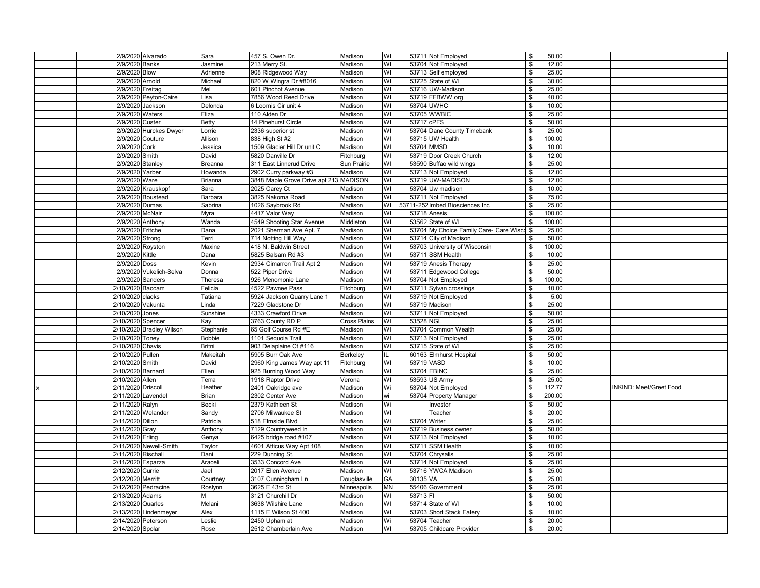|    | 2/9/2020 Alvarado        | Sara           | 457 S. Owen Dr.                            | Madison             | WI                            |              | 53711 Not Employed                      | \$   | 50.00  |                                |  |
|----|--------------------------|----------------|--------------------------------------------|---------------------|-------------------------------|--------------|-----------------------------------------|------|--------|--------------------------------|--|
|    | 2/9/2020 Banks           | Jasmine        | 213 Merry St.                              | Madison             | $\overline{\mathsf{N}}$       |              | 53704 Not Employed                      | \$   | 12.00  |                                |  |
|    | 2/9/2020 Blow            | Adrienne       | 908 Ridgewood Way                          | Madison             | WI                            |              | 53713 Self employed                     | \$   | 25.00  |                                |  |
|    | 2/9/2020 Arnold          | Michael        | 820 W Wingra Dr #8016                      | Madison             |                               |              | 53725 State of WI                       | \$   | 30.00  |                                |  |
|    | 2/9/2020 Freitag         | Mel            |                                            |                     | WI<br>$\overline{\mathsf{W}}$ |              | 53716 UW-Madison                        | \$   | 25.00  |                                |  |
|    | 2/9/2020 Peyton-Caire    | Lisa           | 601 Pinchot Avenue<br>7856 Wood Reed Drive | Madison<br>Madison  | WI                            |              | 53719 FFBWW.org                         | \$   | 40.00  |                                |  |
|    | 2/9/2020 Jackson         | Delonda        |                                            | Madison             | WI                            |              | 53704 UWHC                              | \$   | 10.00  |                                |  |
|    | 2/9/2020 Waters          | Eliza          | 6 Loomis Cir unit 4<br>110 Alden Dr        | Madison             | WI                            |              | 53705 WWBIC                             | \$   | 25.00  |                                |  |
|    | 2/9/2020 Custer          |                | 14 Pinehurst Circle                        |                     | WI                            | 53717 cPFS   |                                         | \$   | 50.00  |                                |  |
|    | 2/9/2020 Hurckes Dwyer   | <b>Betty</b>   | 2336 superior st                           | Madison<br>Madison  | WI                            |              | 53704 Dane County Timebank              |      | 25.00  |                                |  |
|    |                          | Lorrie         |                                            |                     |                               |              |                                         |      |        |                                |  |
|    | 2/9/2020 Couture         | Allison        | 838 High St #2                             | Madison             | WI                            |              | 53715 UW Health                         | \$   | 100.00 |                                |  |
|    | 2/9/2020 Cork            | Jessica        | 1509 Glacier Hill Dr unit C                | Madison             | WI                            | 53704 MMSD   |                                         | \$   | 10.00  |                                |  |
|    | 2/9/2020 Smith           | David          | 5820 Danville Dr                           | Fitchburg           | $\overline{\mathsf{N}}$       |              | 53719 Door Creek Church                 | \$   | 12.00  |                                |  |
|    | 2/9/2020 Stanley         | Breanna        | 311 East Linnerud Drive                    | Sun Prairie         | WI                            |              | 53590 Buffao wild wings                 |      | 25.00  |                                |  |
|    | 2/9/2020 Yarber          | Howanda        | 2902 Curry parkway #3                      | Madison             | WI                            |              | 53713 Not Employed                      | \$   | 12.00  |                                |  |
|    | 2/9/2020 Ware            | <b>Brianna</b> | 3848 Maple Grove Drive apt 213 MADISON     |                     | $\overline{\mathsf{N}}$       |              | 53719 UW-MADISON                        | \$   | 12.00  |                                |  |
|    | 2/9/2020 Krauskopf       | Sara           | 2025 Carey Ct                              | Madison             | WI                            |              | 53704 Uw madison                        | \$   | 10.00  |                                |  |
|    | 2/9/2020 Boustead        | Barbara        | 3825 Nakoma Road                           | Madison             | WI                            |              | 53711 Not Employed                      | \$   | 75.00  |                                |  |
|    | 2/9/2020 Dumas           | Sabrina        | 1026 Saybrook Rd                           | Madison             | $\overline{\mathsf{N}}$       |              | 53711-252 Imbed Biosciences Inc         | \$   | 25.00  |                                |  |
|    | 2/9/2020 McNair          | Myra           | 4417 Valor Way                             | Madison             | $\overline{\mathsf{N}}$       | 53718 Anesis |                                         |      | 100.00 |                                |  |
|    | 2/9/2020 Anthony         | Wanda          | 4549 Shooting Star Avenue                  | Middleton           | $\overline{\mathsf{N}}$       |              | 53562 State of WI                       | \$   | 100.00 |                                |  |
|    | 2/9/2020 Fritche         | Dana           | 2021 Sherman Ave Apt. 7                    | Madison             | WI                            |              | 53704 My Choice Family Care- Care Wisco | \$   | 25.00  |                                |  |
|    | 2/9/2020 Strong          | Terri          | 714 Notting Hill Way                       | Madison             | WI                            |              | 53714 City of Madison                   | \$   | 50.00  |                                |  |
|    | 2/9/2020 Royston         | Maxine         | 418 N. Baldwin Street                      | Madison             | WI                            |              | 53703 University of Wisconsin           | \$   | 100.00 |                                |  |
|    | 2/9/2020 Kittle          | Dana           | 5825 Balsam Rd #3                          | Madison             | WI                            |              | 53711 SSM Health                        | \$   | 10.00  |                                |  |
|    | 2/9/2020 Doss            | Kevin          | 2934 Cimarron Trail Apt 2                  | Madison             | WI                            |              | 53719 Anesis Therapy                    | \$   | 25.00  |                                |  |
|    | 2/9/2020 Vukelich-Selva  | Donna          | 522 Piper Drive                            | Madison             | WI                            |              | 53711 Edgewood College                  |      | 50.00  |                                |  |
|    | 2/9/2020 Sanders         | Theresa        | 926 Menomonie Lane                         | Madison             | WI                            |              | 53704 Not Employed                      | - \$ | 100.00 |                                |  |
|    | 2/10/2020 Baccam         | Felicia        | 4522 Pawnee Pass                           | Fitchburg           | WI                            |              | 53711 Sylvan crossings                  | \$   | 10.00  |                                |  |
|    | 2/10/2020 clacks         | Tatiana        | 5924 Jackson Quarry Lane 1                 | Madison             | WI                            |              | 53719 Not Employed                      | \$   | 5.00   |                                |  |
|    | 2/10/2020 Vakunta        | Linda          | 7229 Gladstone Dr                          | Madison             | Ś                             |              | 53719 Madison                           | - \$ | 25.00  |                                |  |
|    | 2/10/2020 Jones          | Sunshine       | 4333 Crawford Drive                        | Madison             | WI                            |              | 53711 Not Employed                      | \$   | 50.00  |                                |  |
|    | 2/10/2020 Spencer        | Kay            | 3763 County RD P                           | <b>Cross Plains</b> | $\overline{\mathsf{N}}$       | 53528 NGL    |                                         |      | 25.00  |                                |  |
|    | 2/10/2020 Bradley Wilson | Stephanie      | 65 Golf Course Rd #E                       | Madison             | $\overline{\mathsf{N}}$       |              | 53704 Common Wealth                     | - \$ | 25.00  |                                |  |
|    | 2/10/2020 Toney          | <b>Bobbie</b>  | 1101 Sequoia Trail                         | Madison             | $\overline{\mathsf{W}}$       |              | 53713 Not Employed                      | \$   | 25.00  |                                |  |
|    | 2/10/2020 Chavis         | <b>Britni</b>  | 903 Delaplaine Ct #116                     | Madison             | WI                            |              | 53715 State of WI                       | \$   | 25.00  |                                |  |
|    | 2/10/2020 Pullen         | Makeitah       | 5905 Burr Oak Ave                          | Berkeley            | IL.                           |              | 60163 Elmhurst Hospital                 | \$   | 50.00  |                                |  |
|    | 2/10/2020 Smith          | David          | 2960 King James Way apt 11                 | Fitchburg           | WI                            | 53719 VASD   |                                         | \$   | 10.00  |                                |  |
|    | 2/10/2020 Barnard        | Ellen          | 925 Burning Wood Way                       | Madison             | WI                            | 53704 EBINC  |                                         | \$   | 25.00  |                                |  |
|    | 2/10/2020 Allen          | Terra          | 1918 Raptor Drive                          | Verona              | WI                            |              | 53593 US Army                           | - \$ | 25.00  |                                |  |
| ΙX | 2/11/2020 Driscoll       | Heather        | 2401 Oakridge ave                          | Madison             | Wi                            |              | 53704 Not Employed                      | \$   | 112.77 | <b>INKIND: Meet/Greet Food</b> |  |
|    | 2/11/2020 Lavendel       | <b>Brian</b>   | 2302 Center Ave                            | Madison             | wi                            |              | 53704 Property Manager                  | \$   | 200.00 |                                |  |
|    | 2/11/2020 Ralyn          | Becki          | 2379 Kathleen St                           | Madison             | Wi                            |              | Investor                                | \$   | 50.00  |                                |  |
|    | 2/11/2020 Welander       | Sandy          | 2706 Milwaukee St                          | Madison             | WI                            |              | Teacher                                 | \$   | 20.00  |                                |  |
|    | 2/11/2020 Dillon         | Patricia       | 518 Elmside Blvd                           | Madison             | Wi                            | 53704 Writer |                                         | \$   | 25.00  |                                |  |
|    | 2/11/2020 Gray           | Anthony        | 7129 Countryweed In                        | Madison             | WI                            |              | 53719 Business owner                    | \$   | 50.00  |                                |  |
|    | 2/11/2020 Erling         | Genya          | 6425 bridge road #107                      | Madison             | WI                            |              | 53713 Not Employed                      | \$   | 10.00  |                                |  |
|    | 2/11/2020 Newell-Smith   | Taylor         | 4601 Atticus Way Apt 108                   | Madison             | WI                            |              | 53711 SSM Health                        | \$   | 10.00  |                                |  |
|    | 2/11/2020 Rischall       | Dani           | 229 Dunning St.                            | Madison             | WI                            |              | 53704 Chrysalis                         | \$   | 25.00  |                                |  |
|    | 2/11/2020 Esparza        | Araceli        | 3533 Concord Ave                           | Madison             | WI                            |              | 53714 Not Employed                      | \$   | 25.00  |                                |  |
|    | 2/12/2020 Currie         | Jael           | 2017 Ellen Avenue                          | Madison             | $\overline{\mathsf{N}}$       |              | 53716 YWCA Madison                      | \$   | 25.00  |                                |  |
|    | 2/12/2020 Merritt        | Courtney       | 3107 Cunningham Ln                         | Douglasville        | GA                            | 30135 VA     |                                         | \$   | 25.00  |                                |  |
|    | 2/12/2020 Pedracine      | Roslynn        | 3625 E 43rd St                             | Minneapolis         | <b>MN</b>                     |              | 55406 Government                        | \$   | 25.00  |                                |  |
|    | 2/13/2020 Adams          | М              | 3121 Churchill Dr                          | Madison             | WI                            | 53713 FI     |                                         | \$   | 50.00  |                                |  |
|    | 2/13/2020 Quarles        | Melani         |                                            |                     | $\overline{\mathsf{N}}$       |              | 53714 State of WI                       | \$   |        |                                |  |
|    |                          |                | 3638 Wilshire Lane<br>1115 E Wilson St 400 | Madison             | WI                            |              | 53703 Short Stack Eatery                | \$   | 10.00  |                                |  |
|    | 2/13/2020 Lindenmeyer    | Alex           |                                            | Madison             |                               |              |                                         |      | 10.00  |                                |  |
|    | 2/14/2020 Peterson       | Leslie         | 2450 Upham at                              | Madison             | Wi                            |              | 53704 Teacher                           | \$   | 20.00  |                                |  |
|    | 2/14/2020 Spolar         | Rose           | 2512 Chamberlain Ave                       | Madison             | WI                            |              | 53705 Childcare Provider                | \$   | 20.00  |                                |  |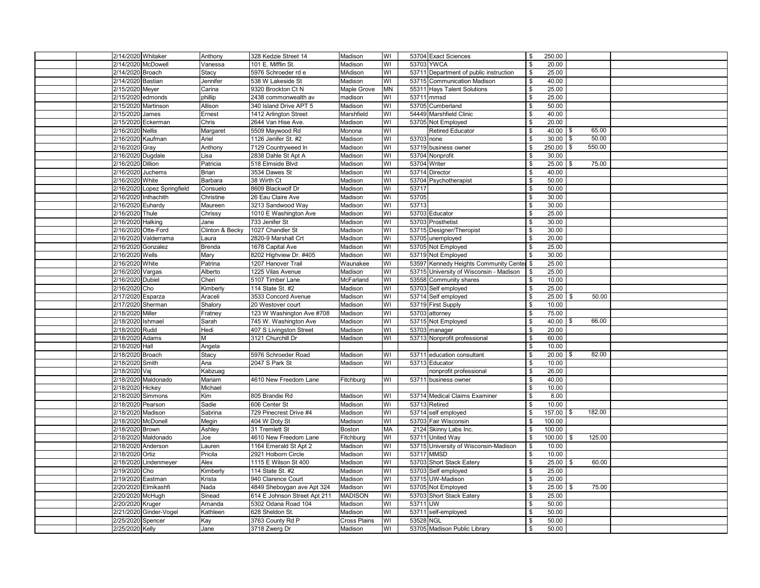| 2/14/2020 Whitaker          | Anthony         | 328 Kedzie Street 14         | Madison             | WI                      |              | 53704 Exact Sciences                      | \$   | 250.00      |              |  |
|-----------------------------|-----------------|------------------------------|---------------------|-------------------------|--------------|-------------------------------------------|------|-------------|--------------|--|
| 2/14/2020 McDowell          | Vanessa         | 101 E. Mifflin St.           | Madison             | WI                      | 53703 YWCA   |                                           |      | 20.00       |              |  |
| 2/14/2020 Broach            | Stacy           | 5976 Schroeder rd e          | <b>MAdison</b>      | $\overline{\mathsf{N}}$ |              | 53711 Department of public instruction    | \$   | 25.00       |              |  |
| 2/14/2020 Bastian           | Jennifer        | 538 W Lakeside St            | Madison             | WI                      |              | 53715 Communication Madison               | \$   | 40.00       |              |  |
| 2/15/2020 Meyer             | Carina          | 9320 Brockton Ct N           | <b>Maple Grove</b>  | <b>MN</b>               |              | 55311 Hays Talent Solutions               |      | 25.00       |              |  |
| 2/15/2020 edmonds           | phillip         | 2438 commonwealth av         | madison             | WI                      | 53711 mmsd   |                                           | \$   | 25.00       |              |  |
| 2/15/2020 Martinson         | Allison         | 340 Island Drive APT 5       | Madison             | WI                      |              | 53705 Cumberland                          | \$   | 50.00       |              |  |
| 2/15/2020 James             | Ernest          | 1412 Arlington Street        | Marshfield          | $\overline{\mathsf{N}}$ |              | 54449 Marshfield Clinic                   | \$   | 40.00       |              |  |
| 2/15/2020 Eckerman          | Chris           | 2644 Van Hise Ave.           | Madison             | WI                      |              | 53705 Not Employed                        | \$   | 20.00       |              |  |
| 2/16/2020 Nellis            | Margaret        | 5509 Maywood Rd              | Monona              | WI                      |              | <b>Retired Educator</b>                   | \$   | 40.00       | 65.00<br>\$  |  |
| 2/16/2020 Kaufman           | Ariel           | 1126 Jenifer St. #2          | Madison             | WI                      | 53703 none   |                                           | \$   | 30.00       | 50.00        |  |
| 2/16/2020 Gray              | Anthony         | 7129 Countryweed In          | Madison             | WI                      |              | 53719 business owner                      | \$   | 250.00      | 550.00<br>\$ |  |
| 2/16/2020 Dugdale           | Lisa            | 2838 Dahle St Apt A          | Madison             | WI                      |              | 53704 Nonprofit                           | \$   | 30.00       |              |  |
| 2/16/2020 Dillion           | Patricia        | 518 Elmside Blvd             | Madison             | WI                      | 53704 Writer |                                           | \$   | 25.00       | 75.00        |  |
| 2/16/2020 Juchems           | Brian           | 3534 Dawes St                | Madison             | WI                      |              | 53714 Director                            | \$   | 40.00       |              |  |
| 2/16/2020 White             | Barbara         | 38 Wirth Ct                  | Madison             | WI                      |              | 53704 Psychotherapist                     |      | 50.00       |              |  |
|                             |                 | 8609 Blackwolf Dr            | Madison             |                         | 53717        |                                           | \$   | 50.00       |              |  |
| 2/16/2020 Lopez Springfield | Consuelo        |                              |                     | Wi                      |              |                                           |      |             |              |  |
| 2/16/2020 Inthachith        | Christine       | 26 Eau Claire Ave            | Madison             | Wi                      | 53705        |                                           | \$   | 30.00       |              |  |
| 2/16/2020 Euhardy           | Maureen         | 3213 Sandwood Way            | Madison             | WI                      | 53713        |                                           | - \$ | 30.00       |              |  |
| 2/16/2020 Thule             | Chrissy         | 1010 E Washington Ave        | Madison             | WI                      |              | 53703 Educator                            | - \$ | 25.00       |              |  |
| 2/16/2020 Halking           | Jane            | 733 Jenifer St               | Madison             | WI                      |              | 53703 Prosthetist                         | \$   | 30.00       |              |  |
| 2/16/2020 Otte-Ford         | Clinton & Becky | 1027 Chandler St             | Madison             | WI                      |              | 53715 Designer/Theropist                  |      | 30.00       |              |  |
| 2/16/2020 Valderrama        | Laura           | 2820-9 Marshall Crt          | Madison             | Wi                      |              | 53705 unemployed                          | - \$ | 20.00       |              |  |
| 2/16/2020 Gonzalez          | <b>Brenda</b>   | 1678 Capital Ave             | Madison             | $\overline{\mathsf{N}}$ |              | 53705 Not Employed                        | \$   | 25.00       |              |  |
| 2/16/2020 Wells             | Mary            | 8202 Highview Dr. #405       | Madison             | $\overline{\mathsf{N}}$ |              | 53719 Not Employed                        | - \$ | 30.00       |              |  |
| 2/16/2020 White             | Patrina         | 1207 Hanover Trail           | Waunakee            | $\overline{\mathsf{N}}$ |              | 53597 Kennedy Heights Community Center \$ |      | 25.00       |              |  |
| 2/16/2020 Vargas            | Alberto         | 1225 Vilas Avenue            | Madison             | WI                      |              | 53715 University of Wisconsin - Madison   | \$   | 25.00       |              |  |
| 2/16/2020 Dubiel            | Cheri           | 5107 Timber Lane             | McFarland           | WI                      |              | 53558 Community shares                    | \$   | 10.00       |              |  |
| 2/16/2020 Cho               | Kimberly        | 114 State St. #2             | Madison             | WI                      |              | 53703 Self employed                       | \$   | 25.00       |              |  |
| 2/17/2020 Esparza           | Araceli         | 3533 Concord Avenue          | Madison             | WI                      |              | 53714 Self employed                       | \$   | 25.00       | 50.00<br>\$  |  |
| 2/17/2020 Sherman           | Shalory         | 20 Westover court            | Madison             | WI                      |              | 53719 First Supply                        | \$   | 10.00       |              |  |
| 2/18/2020 Miller            | Fratney         | 123 W Washington Ave #708    | Madison             | $\overline{\mathsf{N}}$ |              | 53703 attorney                            | \$   | 75.00       |              |  |
| 2/18/2020 Ishmael           | Sarah           | 745 W. Washington Ave        | Madison             | WI                      |              | 53715 Not Employed                        |      | 40.00       | 66.00        |  |
| 2/18/2020 Rudd              | Hedi            | 407 S Livingston Street      | Madison             | WI                      |              | 53703 manager                             | \$   | 20.00       |              |  |
| 2/18/2020 Adams             | М               | 3121 Churchill Dr            | Madison             | WI                      |              | 53713 Nonprofit professional              | \$   | 60.00       |              |  |
| 2/18/2020 Hall              | Angela          |                              |                     |                         |              |                                           | \$   | 10.00       |              |  |
| 2/18/2020 Broach            | Stacy           | 5976 Schroeder Road          | Madison             | WI                      |              | 53711 education consultant                | \$   | 20.00       | 82.00        |  |
| 2/18/2020 Smith             | Ana             | 2047 S Park St               | Madison             | WI                      |              | 53713 Educator                            | \$   | 10.00       |              |  |
| 2/18/2020 Vaj               | Kabzuag         |                              |                     |                         |              | nonprofit professional                    | \$   | 26.00       |              |  |
| 2/18/2020 Maldonado         | Mariam          | 4610 New Freedom Lane        | Fitchburg           | WI                      | 53711        | business owner                            | - \$ | 40.00       |              |  |
| 2/18/2020 Hickey            | Michael         |                              |                     |                         |              |                                           | \$   | 10.00       |              |  |
| 2/18/2020 Simmons           | Kim             | 805 Brandie Rd               | Madison             | WI                      |              | 53714 Medical Claims Examiner             | \$   | 8.00        |              |  |
| 2/18/2020 Pearson           | Sadie           | 606 Center St                | Madison             | Wi                      |              | 53713 Retired                             | \$   | 10.00       |              |  |
| 2/18/2020 Madison           | Sabrina         | 729 Pinecrest Drive #4       | Madison             | WI                      |              | 53714 self employed                       | \$   | 157.00      | 182.00<br>\$ |  |
| 2/18/2020 McDonell          | Megin           | 404 W Doty St                | Madison             | WI                      |              | 53703 Fair Wisconsin                      | \$   | 100.00      |              |  |
| 2/18/2020 Brown             | Ashley          | 31 Tremlett St               | <b>Boston</b>       | MA                      |              | 2124 Skinny Labs Inc.                     | \$   | 100.00      |              |  |
| 2/18/2020 Maldonado         | Joe             | 4610 New Freedom Lane        | Fitchburg           | WI                      |              | 53711 United Way                          | \$   | $100.00$ \$ | 125.00       |  |
| 2/18/2020 Anderson          | Lauren          | 1164 Emerald St Apt 2        | Madison             | $\overline{\mathsf{N}}$ |              | 53715 University of Wisconsin-Madison     | \$   | 10.00       |              |  |
| 2/18/2020 Ortiz             | Pricila         | 2921 Holborn Circle          | Madison             | WI                      | 53717 MMSD   |                                           | \$   | 10.00       |              |  |
| 2/18/2020 Lindenmeyer       | Alex            | 1115 E Wilson St 400         | Madison             | WI                      |              | 53703 Short Stack Eatery                  | \$   | 25.00       | 60.00<br>\$  |  |
| 2/19/2020 Cho               | Kimberly        | 114 State St. #2             | Madison             | WI                      |              | 53703 Self employed                       | - \$ | 25.00       |              |  |
| 2/19/2020 Eastman           | Krista          | 940 Clarence Court           | Madison             | WI                      |              | 53715 UW-Madison                          | \$   | 20.00       |              |  |
| 2/20/2020 Elmikashfi        | Nada            | 4849 Sheboygan ave Apt 324   | Madison             | WI                      |              | 53705 Not Employed                        | \$   | 25.00       | \$<br>75.00  |  |
| 2/20/2020 McHugh            | Sinead          | 614 E Johnson Street Apt 211 | <b>MADISON</b>      | WI                      |              | 53703 Short Stack Eatery                  | \$   | 25.00       |              |  |
| 2/20/2020 Kruger            | Amanda          | 5302 Odana Road 104          | Madison             | WI                      | 53711 UW     |                                           | \$   | 50.00       |              |  |
| 2/21/2020 Ginder-Vogel      | Kathleen        | 628 Sheldon St.              | Madison             | WI                      |              | 53711 self-employed                       | \$   | 50.00       |              |  |
| 2/25/2020 Spencer           | Kay             | 3763 County Rd P             | <b>Cross Plains</b> | WI                      | 53528 NGL    |                                           | \$   | 50.00       |              |  |
| 2/25/2020 Kelly             | Jane            | 3718 Zwerg Dr                | Madison             | WI                      |              | 53705 Madison Public Library              | \$   | 50.00       |              |  |
|                             |                 |                              |                     |                         |              |                                           |      |             |              |  |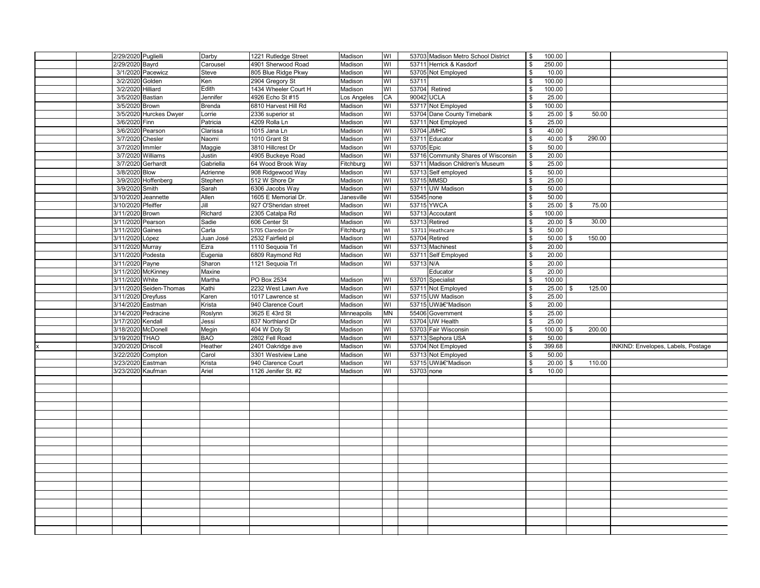|  | 2/29/2020 Puglielli |                         | Darby         | 1221 Rutledge Street  | Madison     | WI                      |            | 53703 Madison Metro School District | \$   | 100.00      |     |        |                                    |
|--|---------------------|-------------------------|---------------|-----------------------|-------------|-------------------------|------------|-------------------------------------|------|-------------|-----|--------|------------------------------------|
|  | 2/29/2020 Bayrd     |                         | Carousel      | 4901 Sherwood Road    | Madison     | WI                      |            | 53711 Herrick & Kasdorf             | \$   | 250.00      |     |        |                                    |
|  |                     | 3/1/2020 Pacewicz       | Steve         | 805 Blue Ridge Pkwy   | Madison     | WI                      |            | 53705 Not Employed                  | \$   | 10.00       |     |        |                                    |
|  | 3/2/2020 Golden     |                         | Ken           | 2904 Gregory St       | Madison     | WI                      | 53711      |                                     | \$   | 100.00      |     |        |                                    |
|  | 3/2/2020 Hilliard   |                         | Edith         | 1434 Wheeler Court H  | Madison     | WI                      |            | 53704 Retired                       | \$   | 100.00      |     |        |                                    |
|  | 3/5/2020 Bastian    |                         | Jennifer      | 4926 Echo St #15      | Los Angeles | CA                      | 90042 UCLA |                                     | -\$  | 25.00       |     |        |                                    |
|  | 3/5/2020 Brown      |                         | <b>Brenda</b> | 6810 Harvest Hill Rd  | Madison     | Ś                       |            | 53717 Not Employed                  | \$   | 100.00      |     |        |                                    |
|  |                     | 3/5/2020 Hurckes Dwyer  | Lorrie        | 2336 superior st      | Madison     | WI                      |            | 53704 Dane County Timebank          | \$   | 25.00       |     | 50.00  |                                    |
|  | 3/6/2020 Finn       |                         | Patricia      | 4209 Rolla Ln         | Madison     | WI                      |            | 53711 Not Employed                  | \$   | 25.00       |     |        |                                    |
|  |                     | 3/6/2020 Pearson        | Clarissa      | 1015 Jana Ln          | Madison     | WI                      | 53704 JMHC |                                     | \$   | 40.00       |     |        |                                    |
|  | 3/7/2020 Chesler    |                         | Naomi         | 1010 Grant St         | Madison     | WI                      |            | 53711 Educator                      | -\$  | 40.00       |     | 290.00 |                                    |
|  | 3/7/2020 Immler     |                         | Maggie        | 3810 Hillcrest Dr     | Madison     | WI                      | 53705 Epic |                                     | -\$  | 50.00       |     |        |                                    |
|  |                     | 3/7/2020 Williams       | Justin        | 4905 Buckeye Road     | Madison     | WI                      |            | 53716 Community Shares of Wisconsin | \$   | 20.00       |     |        |                                    |
|  |                     | 3/7/2020 Gerhardt       | Gabriella     | 64 Wood Brook Way     | Fitchburg   | WI                      |            | 53711 Madison Children's Museum     | \$   | 25.00       |     |        |                                    |
|  | 3/8/2020 Blow       |                         | Adrienne      | 908 Ridgewood Way     | Madison     | WI                      |            | 53713 Self employed                 | \$   | 50.00       |     |        |                                    |
|  |                     | 3/9/2020 Hoffenberg     | Stephen       | 512 W Shore Dr        | Madison     | WI                      |            | 53715 MMSD                          | \$   | 25.00       |     |        |                                    |
|  | 3/9/2020 Smith      |                         | Sarah         | 6306 Jacobs Way       | Madison     | WI                      |            | 53711 UW Madison                    | -\$  | 50.00       |     |        |                                    |
|  |                     | 3/10/2020 Jeannette     | Allen         | 1605 E Memorial Dr.   | Janesville  | WI                      | 53545 none |                                     | -\$  | 50.00       |     |        |                                    |
|  | 3/10/2020 Pfeiffer  |                         | Jill          | 927 O'Sheridan street | Madison     | $\overline{\mathsf{N}}$ |            | 53715 YWCA                          | -\$  | 25.00       | -\$ | 75.00  |                                    |
|  | 3/11/2020 Brown     |                         | Richard       | 2305 Catalpa Rd       | Madison     | WI                      |            | 53713 Accoutant                     | S    | 100.00      |     |        |                                    |
|  | 3/11/2020 Pearson   |                         | Sadie         | 606 Center St         | Madison     | Wi                      |            | 53713 Retired                       | -\$  | 20.00       |     | 30.00  |                                    |
|  | 3/11/2020 Gaines    |                         | Carla         | 5705 Claredon Dr      | Fitchburg   | WI                      |            | 53711 Heathcare                     | -\$  | 50.00       |     |        |                                    |
|  | 3/11/2020 López     |                         | Juan José     | 2532 Fairfield pl     | Madison     | WI                      |            | 53704 Retired                       | -\$  | $50.00$ \$  |     | 150.00 |                                    |
|  | 3/11/2020 Murray    |                         | Ezra          | 1110 Sequoia Trl      | Madison     | WI                      |            | 53713 Machinest                     | - \$ | 20.00       |     |        |                                    |
|  | 3/11/2020 Podesta   |                         | Eugenia       | 6809 Raymond Rd       | Madison     | WI                      |            | 53711 Self Employed                 | \$   | 20.00       |     |        |                                    |
|  | 3/11/2020 Payne     |                         | Sharon        | 1121 Sequoia Trl      | Madison     | WI                      | 53713 N/A  |                                     | \$   | 20.00       |     |        |                                    |
|  |                     | 3/11/2020 McKinney      | Maxine        |                       |             |                         |            | Educator                            |      | 20.00       |     |        |                                    |
|  | 3/11/2020 White     |                         | Martha        | PO Box 2534           | Madison     | WI                      |            | 53701 Specialist                    | -\$  | 100.00      |     |        |                                    |
|  |                     | 3/11/2020 Seiden-Thomas | Kathi         | 2232 West Lawn Ave    | Madison     | WI                      |            | 53711 Not Employed                  | \$   | $25.00$ \$  |     | 125.00 |                                    |
|  | 3/11/2020 Dreyfuss  |                         | Karen         | 1017 Lawrence st      | Madison     | WI                      |            | 53715 UW Madison                    | \$   | 25.00       |     |        |                                    |
|  | 3/14/2020 Eastman   |                         | Krista        | 940 Clarence Court    | Madison     | WI                      |            | 53715 UWâ€"Madison                  | S    | 20.00       |     |        |                                    |
|  |                     | 3/14/2020 Pedracine     | Roslynn       | 3625 E 43rd St        | Minneapolis | <b>MN</b>               |            | 55406 Government                    | -\$  | 25.00       |     |        |                                    |
|  | 3/17/2020 Kendall   |                         | Jessi         | 837 Northland Dr      | Madison     | WI                      |            | 53704 UW Health                     | \$   | 25.00       |     |        |                                    |
|  |                     | 3/18/2020 McDonell      | Megin         | 404 W Doty St         | Madison     | $\overline{\mathsf{N}}$ |            | 53703 Fair Wisconsin                | - \$ | $100.00$ \$ |     | 200.00 |                                    |
|  | 3/19/2020 THAO      |                         | <b>BAO</b>    | 2802 Fell Road        | Madison     | WI                      |            | 53713 Sephora USA                   | -\$  | 50.00       |     |        |                                    |
|  | 3/20/2020 Driscoll  |                         | Heather       | 2401 Oakridge ave     | Madison     | Wi                      |            | 53704 Not Employed                  | \$   | 399.68      |     |        | INKIND: Envelopes, Labels, Postage |
|  |                     | 3/22/2020 Compton       | Carol         | 3301 Westview Lane    | Madison     | WI                      |            | 53713 Not Employed                  | -S   | 50.00       |     |        |                                    |
|  | 3/23/2020 Eastman   |                         | Krista        | 940 Clarence Court    | Madison     | WI                      |            | 53715 UW–Madison                    | -\$  | 20.00       | \$  | 110.00 |                                    |
|  | 3/23/2020 Kaufman   |                         | Ariel         | 1126 Jenifer St. #2   | Madison     | WI                      | 53703 none |                                     | \$   | 10.00       |     |        |                                    |
|  |                     |                         |               |                       |             |                         |            |                                     |      |             |     |        |                                    |
|  |                     |                         |               |                       |             |                         |            |                                     |      |             |     |        |                                    |
|  |                     |                         |               |                       |             |                         |            |                                     |      |             |     |        |                                    |
|  |                     |                         |               |                       |             |                         |            |                                     |      |             |     |        |                                    |
|  |                     |                         |               |                       |             |                         |            |                                     |      |             |     |        |                                    |
|  |                     |                         |               |                       |             |                         |            |                                     |      |             |     |        |                                    |
|  |                     |                         |               |                       |             |                         |            |                                     |      |             |     |        |                                    |
|  |                     |                         |               |                       |             |                         |            |                                     |      |             |     |        |                                    |
|  |                     |                         |               |                       |             |                         |            |                                     |      |             |     |        |                                    |
|  |                     |                         |               |                       |             |                         |            |                                     |      |             |     |        |                                    |
|  |                     |                         |               |                       |             |                         |            |                                     |      |             |     |        |                                    |
|  |                     |                         |               |                       |             |                         |            |                                     |      |             |     |        |                                    |
|  |                     |                         |               |                       |             |                         |            |                                     |      |             |     |        |                                    |
|  |                     |                         |               |                       |             |                         |            |                                     |      |             |     |        |                                    |
|  |                     |                         |               |                       |             |                         |            |                                     |      |             |     |        |                                    |
|  |                     |                         |               |                       |             |                         |            |                                     |      |             |     |        |                                    |
|  |                     |                         |               |                       |             |                         |            |                                     |      |             |     |        |                                    |
|  |                     |                         |               |                       |             |                         |            |                                     |      |             |     |        |                                    |
|  |                     |                         |               |                       |             |                         |            |                                     |      |             |     |        |                                    |
|  |                     |                         |               |                       |             |                         |            |                                     |      |             |     |        |                                    |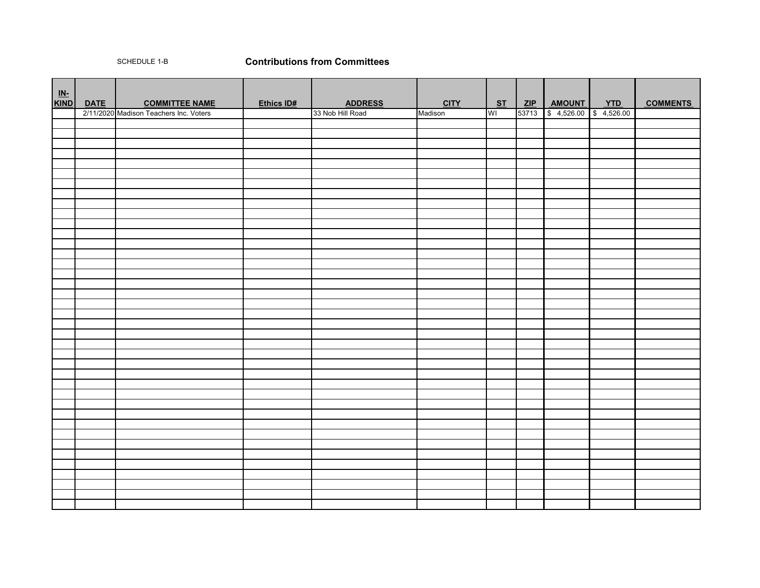### SCHEDULE 1-B **Contributions from Committees**

| <u>IN-</u><br>KIND | <b>DATE</b> | <b>COMMITTEE NAME</b>                  | Ethics ID# | <b>ADDRESS</b>   | <b>CITY</b> | ST        |       | ZIP   AMOUNT<br><b>AMOUNT YTD</b><br>\$4,526.00 \$4,526.00 | <b>COMMENTS</b> |
|--------------------|-------------|----------------------------------------|------------|------------------|-------------|-----------|-------|------------------------------------------------------------|-----------------|
|                    |             | 2/11/2020 Madison Teachers Inc. Voters |            | 33 Nob Hill Road | Madison     | <b>WI</b> | 53713 |                                                            |                 |
|                    |             |                                        |            |                  |             |           |       |                                                            |                 |
|                    |             |                                        |            |                  |             |           |       |                                                            |                 |
|                    |             |                                        |            |                  |             |           |       |                                                            |                 |
|                    |             |                                        |            |                  |             |           |       |                                                            |                 |
|                    |             |                                        |            |                  |             |           |       |                                                            |                 |
|                    |             |                                        |            |                  |             |           |       |                                                            |                 |
|                    |             |                                        |            |                  |             |           |       |                                                            |                 |
|                    |             |                                        |            |                  |             |           |       |                                                            |                 |
|                    |             |                                        |            |                  |             |           |       |                                                            |                 |
|                    |             |                                        |            |                  |             |           |       |                                                            |                 |
|                    |             |                                        |            |                  |             |           |       |                                                            |                 |
|                    |             |                                        |            |                  |             |           |       |                                                            |                 |
|                    |             |                                        |            |                  |             |           |       |                                                            |                 |
|                    |             |                                        |            |                  |             |           |       |                                                            |                 |
|                    |             |                                        |            |                  |             |           |       |                                                            |                 |
|                    |             |                                        |            |                  |             |           |       |                                                            |                 |
|                    |             |                                        |            |                  |             |           |       |                                                            |                 |
|                    |             |                                        |            |                  |             |           |       |                                                            |                 |
|                    |             |                                        |            |                  |             |           |       |                                                            |                 |
|                    |             |                                        |            |                  |             |           |       |                                                            |                 |
|                    |             |                                        |            |                  |             |           |       |                                                            |                 |
|                    |             |                                        |            |                  |             |           |       |                                                            |                 |
|                    |             |                                        |            |                  |             |           |       |                                                            |                 |
|                    |             |                                        |            |                  |             |           |       |                                                            |                 |
|                    |             |                                        |            |                  |             |           |       |                                                            |                 |
|                    |             |                                        |            |                  |             |           |       |                                                            |                 |
|                    |             |                                        |            |                  |             |           |       |                                                            |                 |
|                    |             |                                        |            |                  |             |           |       |                                                            |                 |
|                    |             |                                        |            |                  |             |           |       |                                                            |                 |
|                    |             |                                        |            |                  |             |           |       |                                                            |                 |
|                    |             |                                        |            |                  |             |           |       |                                                            |                 |
|                    |             |                                        |            |                  |             |           |       |                                                            |                 |
|                    |             |                                        |            |                  |             |           |       |                                                            |                 |
|                    |             |                                        |            |                  |             |           |       |                                                            |                 |
|                    |             |                                        |            |                  |             |           |       |                                                            |                 |
|                    |             |                                        |            |                  |             |           |       |                                                            |                 |
|                    |             |                                        |            |                  |             |           |       |                                                            |                 |
|                    |             |                                        |            |                  |             |           |       |                                                            |                 |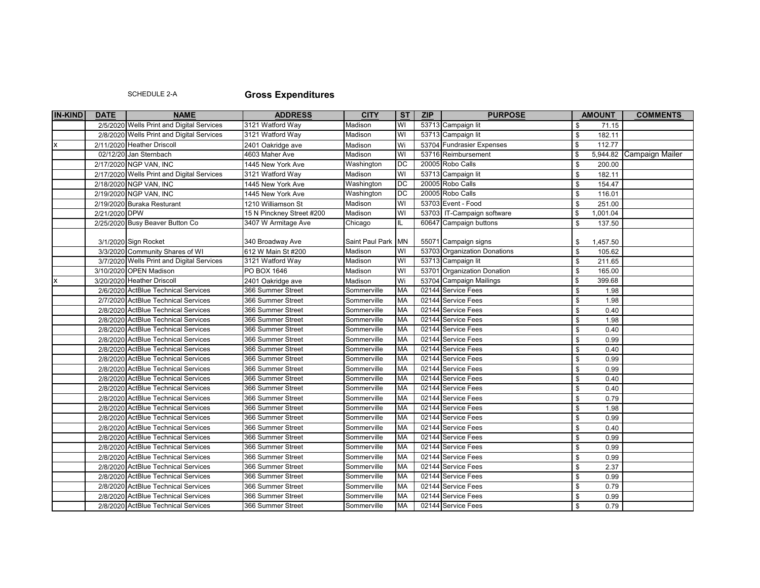## SCHEDULE 2-A **Gross Expenditures**

| <b>IN-KIND</b>            | <b>DATE</b>   | <b>NAME</b>                                | <b>ADDRESS</b>                         | <b>CITY</b>         | S <sub>T</sub>          | ZIP | <b>PURPOSE</b>                           | <b>AMOUNT</b>            | <b>COMMENTS</b> |
|---------------------------|---------------|--------------------------------------------|----------------------------------------|---------------------|-------------------------|-----|------------------------------------------|--------------------------|-----------------|
|                           |               | 2/5/2020 Wells Print and Digital Services  | 3121 Watford Way                       | Madison             | WI                      |     | 53713 Campaign lit                       | \$<br>71.15              |                 |
|                           |               | 2/8/2020 Wells Print and Digital Services  | 3121 Watford Way                       | Madison             | WI                      |     | 53713 Campaign lit                       | \$<br>182.11             |                 |
| $\boldsymbol{\mathsf{x}}$ |               | 2/11/2020 Heather Driscoll                 | 2401 Oakridge ave                      | Madison             | Wi                      |     | 53704 Fundrasier Expenses                | \$<br>112.77             |                 |
|                           |               | 02/12/20 Jan Sternbach                     | 4603 Maher Ave                         | Madison             | $\overline{3}$          |     | 53716 Reimbursement                      | \$<br>5,944.82           | Campaign Mailer |
|                           |               | 2/17/2020 NGP VAN, INC                     | 1445 New York Ave                      | Washington          | <b>DC</b>               |     | 20005 Robo Calls                         | \$<br>200.00             |                 |
|                           |               | 2/17/2020 Wells Print and Digital Services | 3121 Watford Way                       | Madison             | WI                      |     | 53713 Campaign lit                       | \$<br>182.11             |                 |
|                           |               | 2/18/2020 NGP VAN, INC                     | 1445 New York Ave                      | Washington          | <b>DC</b>               |     | 20005 Robo Calls                         | \$<br>154.47             |                 |
|                           |               | 2/19/2020 NGP VAN, INC                     | 1445 New York Ave                      | Washington          | DС                      |     | 20005 Robo Calls                         | \$<br>116.01             |                 |
|                           |               | 2/19/2020 Buraka Resturant                 | 1210 Williamson St                     | Madison             | $\overline{\mathsf{M}}$ |     | 53703 Event - Food                       | \$<br>251.00             |                 |
|                           | 2/21/2020 DPW |                                            | 15 N Pinckney Street #200              | Madison             | $\overline{\mathsf{N}}$ |     | 53703 IT-Campaign software               | \$<br>1,001.04           |                 |
|                           |               | 2/25/2020 Busy Beaver Button Co            | 3407 W Armitage Ave                    | Chicago             | IL                      |     | 60647 Campaign buttons                   | \$<br>137.50             |                 |
|                           |               | 3/1/2020 Sign Rocket                       |                                        | Saint Paul Park IMN |                         |     | 55071 Campaign signs                     | \$                       |                 |
|                           |               | 3/3/2020 Community Shares of WI            | 340 Broadway Ave<br>612 W Main St #200 | Madison             | WI                      |     | 53703 Organization Donations             | 1,457.50<br>105.62<br>\$ |                 |
|                           |               | 3/7/2020 Wells Print and Digital Services  | 3121 Watford Way                       | Madison             | WI                      |     | 53713 Campaign lit                       | \$                       |                 |
|                           |               |                                            |                                        | Madison             | WI                      |     |                                          | 211.65<br>\$             |                 |
|                           |               | 3/10/2020 OPEN Madison                     | PO BOX 1646                            |                     |                         |     | 53701 Organization Donation              | 165.00<br>\$             |                 |
|                           |               | 3/20/2020 Heather Driscoll                 | 2401 Oakridge ave                      | Madison             | Wi<br><b>MA</b>         |     | 53704 Campaign Mailings                  | 399.68                   |                 |
|                           |               | 2/6/2020 ActBlue Technical Services        | 366 Summer Street                      | Sommerville         |                         |     | 02144 Service Fees                       | \$<br>1.98               |                 |
|                           |               | 2/7/2020 ActBlue Technical Services        | 366 Summer Street                      | Sommerville         | <b>MA</b><br><b>MA</b>  |     | 02144 Service Fees<br>02144 Service Fees | 1.98<br>\$               |                 |
|                           |               | 2/8/2020 ActBlue Technical Services        | 366 Summer Street                      | Sommerville         |                         |     |                                          | \$<br>0.40               |                 |
|                           |               | 2/8/2020 ActBlue Technical Services        | 366 Summer Street                      | Sommerville         | MA<br>MA                |     | 02144 Service Fees                       | 1.98<br>\$               |                 |
|                           |               | 2/8/2020 ActBlue Technical Services        | 366 Summer Street                      | Sommerville         | MA                      |     | 02144 Service Fees                       | \$<br>0.40               |                 |
|                           |               | 2/8/2020 ActBlue Technical Services        | 366 Summer Street                      | Sommerville         |                         |     | 02144 Service Fees                       | 0.99<br>\$               |                 |
|                           |               | 2/8/2020 ActBlue Technical Services        | 366 Summer Street                      | Sommerville         | <b>MA</b><br><b>MA</b>  |     | 02144 Service Fees<br>02144 Service Fees | \$<br>0.40               |                 |
|                           |               | 2/8/2020 ActBlue Technical Services        | 366 Summer Street                      | Sommerville         |                         |     |                                          | \$<br>0.99               |                 |
|                           |               | 2/8/2020 ActBlue Technical Services        | 366 Summer Street                      | Sommerville         | MA                      |     | 02144 Service Fees                       | \$<br>0.99               |                 |
|                           |               | 2/8/2020 ActBlue Technical Services        | 366 Summer Street                      | Sommerville         | MA                      |     | 02144 Service Fees                       | \$<br>0.40               |                 |
|                           |               | 2/8/2020 ActBlue Technical Services        | 366 Summer Street                      | Sommerville         | MA                      |     | 02144 Service Fees                       | \$<br>0.40               |                 |
|                           |               | 2/8/2020 ActBlue Technical Services        | 366 Summer Street                      | Sommerville         | <b>MA</b>               |     | 02144 Service Fees                       | 0.79<br>\$               |                 |
|                           |               | 2/8/2020 ActBlue Technical Services        | 366 Summer Street                      | Sommerville         | <b>MA</b>               |     | 02144 Service Fees                       | \$<br>1.98               |                 |
|                           |               | 2/8/2020 ActBlue Technical Services        | 366 Summer Street                      | Sommerville         | <b>MA</b>               |     | 02144 Service Fees                       | \$<br>0.99               |                 |
|                           |               | 2/8/2020 ActBlue Technical Services        | 366 Summer Street                      | Sommerville         | <b>MA</b>               |     | 02144 Service Fees                       | 0.40<br>\$               |                 |
|                           |               | 2/8/2020 ActBlue Technical Services        | 366 Summer Street                      | Sommerville         | MA                      |     | 02144 Service Fees                       | 0.99<br>\$               |                 |
|                           |               | 2/8/2020 ActBlue Technical Services        | 366 Summer Street                      | Sommerville         | MA                      |     | 02144 Service Fees                       | 0.99<br>\$               |                 |
|                           |               | 2/8/2020 ActBlue Technical Services        | 366 Summer Street                      | Sommerville         | <b>MA</b>               |     | 02144 Service Fees                       | \$<br>0.99               |                 |
|                           |               | 2/8/2020 ActBlue Technical Services        | 366 Summer Street                      | Sommerville         | <b>MA</b>               |     | 02144 Service Fees                       | 2.37<br>\$               |                 |
|                           |               | 2/8/2020 ActBlue Technical Services        | 366 Summer Street                      | Sommerville         | <b>MA</b>               |     | 02144 Service Fees                       | \$<br>0.99               |                 |
|                           |               | 2/8/2020 ActBlue Technical Services        | 366 Summer Street                      | Sommerville         | MA                      |     | 02144 Service Fees                       | \$<br>0.79               |                 |
|                           |               | 2/8/2020 ActBlue Technical Services        | 366 Summer Street                      | Sommerville         | <b>MA</b>               |     | 02144 Service Fees                       | 0.99<br>\$               |                 |
|                           |               | 2/8/2020 ActBlue Technical Services        | 366 Summer Street                      | Sommerville         | MA                      |     | 02144 Service Fees                       | \$<br>0.79               |                 |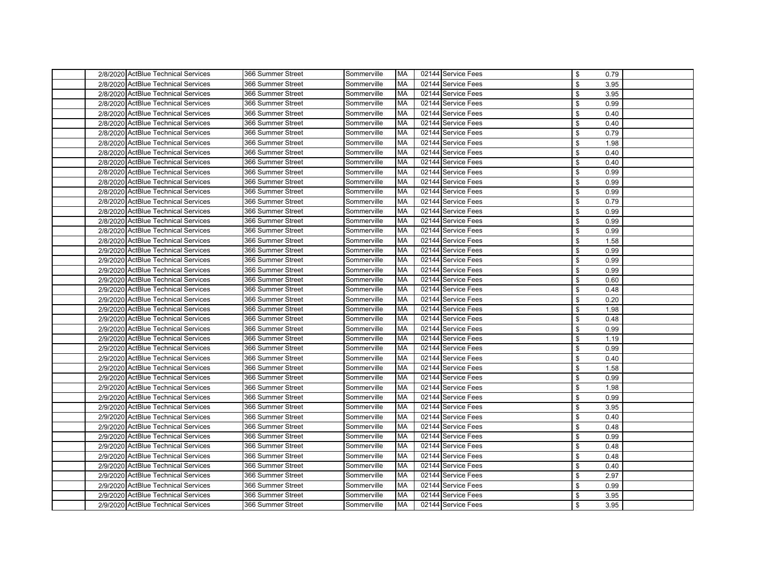| 2/8/2020 ActBlue Technical Services | 366 Summer Street | Sommerville | MA        | 02144 Service Fees | \$             | 0.79 |
|-------------------------------------|-------------------|-------------|-----------|--------------------|----------------|------|
| 2/8/2020 ActBlue Technical Services | 366 Summer Street | Sommerville | MA        | 02144 Service Fees | \$             | 3.95 |
| 2/8/2020 ActBlue Technical Services | 366 Summer Street | Sommerville | МA        | 02144 Service Fees | \$             | 3.95 |
| 2/8/2020 ActBlue Technical Services | 366 Summer Street | Sommerville | MA        | 02144 Service Fees | \$             | 0.99 |
| 2/8/2020 ActBlue Technical Services | 366 Summer Street | Sommerville | МA        | 02144 Service Fees | \$             | 0.40 |
| 2/8/2020 ActBlue Technical Services | 366 Summer Street | Sommerville | МA        | 02144 Service Fees | \$             | 0.40 |
| 2/8/2020 ActBlue Technical Services | 366 Summer Street | Sommerville | MA        | 02144 Service Fees | \$             | 0.79 |
| 2/8/2020 ActBlue Technical Services | 366 Summer Street | Sommerville | MA        | 02144 Service Fees | \$             | 1.98 |
| 2/8/2020 ActBlue Technical Services | 366 Summer Street | Sommerville | <b>MA</b> | 02144 Service Fees | \$             | 0.40 |
| 2/8/2020 ActBlue Technical Services | 366 Summer Street | Sommerville | MA        | 02144 Service Fees | \$             | 0.40 |
| 2/8/2020 ActBlue Technical Services | 366 Summer Street | Sommerville | МA        | 02144 Service Fees | \$             | 0.99 |
| 2/8/2020 ActBlue Technical Services | 366 Summer Street | Sommerville | МA        | 02144 Service Fees | \$             | 0.99 |
| 2/8/2020 ActBlue Technical Services | 366 Summer Street | Sommerville | MA        | 02144 Service Fees | \$             | 0.99 |
| 2/8/2020 ActBlue Technical Services | 366 Summer Street | Sommerville | МA        | 02144 Service Fees | \$             | 0.79 |
| 2/8/2020 ActBlue Technical Services | 366 Summer Street | Sommerville | МA        | 02144 Service Fees | \$             | 0.99 |
| 2/8/2020 ActBlue Technical Services | 366 Summer Street | Sommerville | MA        | 02144 Service Fees | \$             | 0.99 |
| 2/8/2020 ActBlue Technical Services | 366 Summer Street | Sommerville | МA        | 02144 Service Fees | \$             | 0.99 |
| 2/8/2020 ActBlue Technical Services | 366 Summer Street | Sommerville | МA        | 02144 Service Fees | \$             | 1.58 |
| 2/9/2020 ActBlue Technical Services | 366 Summer Street | Sommerville | MA        | 02144 Service Fees | \$             | 0.99 |
| 2/9/2020 ActBlue Technical Services | 366 Summer Street | Sommerville | МA        | 02144 Service Fees | \$             | 0.99 |
| 2/9/2020 ActBlue Technical Services | 366 Summer Street | Sommerville | МA        | 02144 Service Fees | \$             | 0.99 |
| 2/9/2020 ActBlue Technical Services | 366 Summer Street | Sommerville | МA        | 02144 Service Fees | \$             | 0.60 |
| 2/9/2020 ActBlue Technical Services | 366 Summer Street | Sommerville | MA        | 02144 Service Fees | \$             | 0.48 |
| 2/9/2020 ActBlue Technical Services | 366 Summer Street | Sommerville | MA        | 02144 Service Fees | \$             | 0.20 |
| 2/9/2020 ActBlue Technical Services | 366 Summer Street | Sommerville | MA        | 02144 Service Fees | $\mathfrak{L}$ | 1.98 |
| 2/9/2020 ActBlue Technical Services | 366 Summer Street | Sommerville | MA        | 02144 Service Fees | \$             | 0.48 |
| 2/9/2020 ActBlue Technical Services | 366 Summer Street | Sommerville | MA        | 02144 Service Fees | \$             | 0.99 |
| 2/9/2020 ActBlue Technical Services | 366 Summer Street | Sommerville | MA        | 02144 Service Fees | \$             | 1.19 |
| 2/9/2020 ActBlue Technical Services | 366 Summer Street | Sommerville | MA        | 02144 Service Fees | \$             | 0.99 |
| 2/9/2020 ActBlue Technical Services | 366 Summer Street | Sommerville | МA        | 02144 Service Fees | \$             | 0.40 |
| 2/9/2020 ActBlue Technical Services | 366 Summer Street | Sommerville | MA        | 02144 Service Fees | \$             | 1.58 |
| 2/9/2020 ActBlue Technical Services | 366 Summer Street | Sommerville | МA        | 02144 Service Fees | \$             | 0.99 |
| 2/9/2020 ActBlue Technical Services | 366 Summer Street | Sommerville | MA        | 02144 Service Fees | \$             | 1.98 |
| 2/9/2020 ActBlue Technical Services | 366 Summer Street | Sommerville | MA        | 02144 Service Fees | \$             | 0.99 |
| 2/9/2020 ActBlue Technical Services | 366 Summer Street | Sommerville | MA        | 02144 Service Fees | \$             | 3.95 |
| 2/9/2020 ActBlue Technical Services | 366 Summer Street | Sommerville | МA        | 02144 Service Fees | \$             | 0.40 |
| 2/9/2020 ActBlue Technical Services | 366 Summer Street | Sommerville | MA        | 02144 Service Fees | \$             | 0.48 |
| 2/9/2020 ActBlue Technical Services | 366 Summer Street | Sommerville | MA        | 02144 Service Fees | \$             | 0.99 |
| 2/9/2020 ActBlue Technical Services | 366 Summer Street | Sommerville | МA        | 02144 Service Fees | \$.            | 0.48 |
| 2/9/2020 ActBlue Technical Services | 366 Summer Street | Sommerville | MA        | 02144 Service Fees | \$             | 0.48 |
| 2/9/2020 ActBlue Technical Services | 366 Summer Street | Sommerville | MA        | 02144 Service Fees | \$             | 0.40 |
| 2/9/2020 ActBlue Technical Services | 366 Summer Street | Sommerville | МA        | 02144 Service Fees | \$             | 2.97 |
| 2/9/2020 ActBlue Technical Services | 366 Summer Street | Sommerville | MA        | 02144 Service Fees | $\mathfrak{L}$ | 0.99 |
| 2/9/2020 ActBlue Technical Services | 366 Summer Street | Sommerville | MA        | 02144 Service Fees | \$             | 3.95 |
| 2/9/2020 ActBlue Technical Services | 366 Summer Street | Sommerville | <b>MA</b> | 02144 Service Fees | \$             | 3.95 |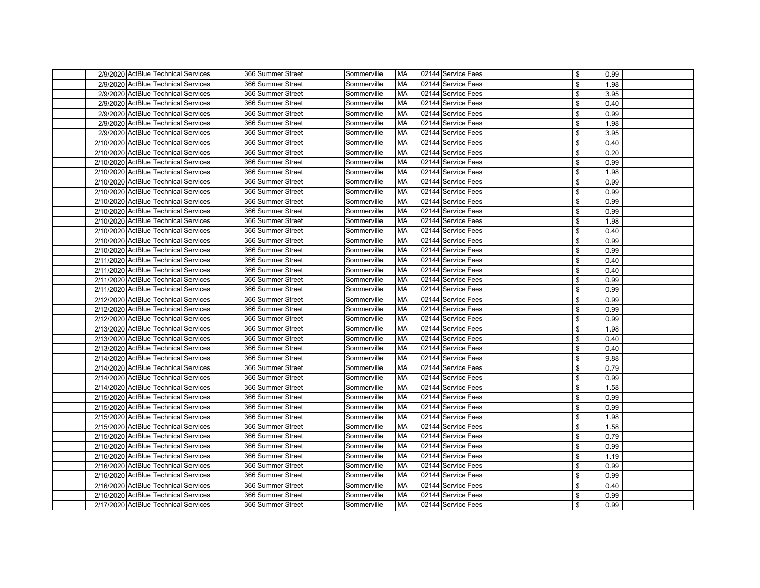| 2/9/2020 ActBlue Technical Services  | 366 Summer Street | Sommerville | <b>MA</b> | 02144 Service Fees | \$<br>0.99 |  |
|--------------------------------------|-------------------|-------------|-----------|--------------------|------------|--|
| 2/9/2020 ActBlue Technical Services  | 366 Summer Street | Sommerville | <b>MA</b> | 02144 Service Fees | \$<br>1.98 |  |
| 2/9/2020 ActBlue Technical Services  | 366 Summer Street | Sommerville | MA        | 02144 Service Fees | \$<br>3.95 |  |
| 2/9/2020 ActBlue Technical Services  | 366 Summer Street | Sommerville | МA        | 02144 Service Fees | \$<br>0.40 |  |
| 2/9/2020 ActBlue Technical Services  | 366 Summer Street | Sommerville | МA        | 02144 Service Fees | \$<br>0.99 |  |
| 2/9/2020 ActBlue Technical Services  | 366 Summer Street | Sommerville | MA        | 02144 Service Fees | \$<br>1.98 |  |
| 2/9/2020 ActBlue Technical Services  | 366 Summer Street | Sommerville | MA        | 02144 Service Fees | \$<br>3.95 |  |
| 2/10/2020 ActBlue Technical Services | 366 Summer Street | Sommerville | МA        | 02144 Service Fees | \$<br>0.40 |  |
| 2/10/2020 ActBlue Technical Services | 366 Summer Street | Sommerville | МA        | 02144 Service Fees | \$<br>0.20 |  |
| 2/10/2020 ActBlue Technical Services | 366 Summer Street | Sommerville | MA        | 02144 Service Fees | \$<br>0.99 |  |
| 2/10/2020 ActBlue Technical Services | 366 Summer Street | Sommerville | MA        | 02144 Service Fees | \$<br>1.98 |  |
| 2/10/2020 ActBlue Technical Services | 366 Summer Street | Sommerville | МA        | 02144 Service Fees | \$<br>0.99 |  |
| 2/10/2020 ActBlue Technical Services | 366 Summer Street | Sommerville | MA        | 02144 Service Fees | \$<br>0.99 |  |
| 2/10/2020 ActBlue Technical Services | 366 Summer Street | Sommerville | МA        | 02144 Service Fees | \$<br>0.99 |  |
| 2/10/2020 ActBlue Technical Services | 366 Summer Street | Sommerville | MA        | 02144 Service Fees | \$<br>0.99 |  |
| 2/10/2020 ActBlue Technical Services | 366 Summer Street | Sommerville | MA        | 02144 Service Fees | \$<br>1.98 |  |
| 2/10/2020 ActBlue Technical Services | 366 Summer Street | Sommerville | МA        | 02144 Service Fees | \$<br>0.40 |  |
| 2/10/2020 ActBlue Technical Services | 366 Summer Street | Sommerville | МA        | 02144 Service Fees | \$<br>0.99 |  |
| 2/10/2020 ActBlue Technical Services | 366 Summer Street | Sommerville | MA        | 02144 Service Fees | \$<br>0.99 |  |
| 2/11/2020 ActBlue Technical Services | 366 Summer Street | Sommerville | МA        | 02144 Service Fees | \$<br>0.40 |  |
| 2/11/2020 ActBlue Technical Services | 366 Summer Street | Sommerville | МA        | 02144 Service Fees | \$<br>0.40 |  |
| 2/11/2020 ActBlue Technical Services | 366 Summer Street | Sommerville | MA        | 02144 Service Fees | \$<br>0.99 |  |
| 2/11/2020 ActBlue Technical Services | 366 Summer Street | Sommerville | MA        | 02144 Service Fees | \$<br>0.99 |  |
| 2/12/2020 ActBlue Technical Services | 366 Summer Street | Sommerville | МA        | 02144 Service Fees | \$<br>0.99 |  |
| 2/12/2020 ActBlue Technical Services | 366 Summer Street | Sommerville | МA        | 02144 Service Fees | \$<br>0.99 |  |
| 2/12/2020 ActBlue Technical Services | 366 Summer Street | Sommerville | MA        | 02144 Service Fees | \$<br>0.99 |  |
| 2/13/2020 ActBlue Technical Services | 366 Summer Street | Sommerville | MA        | 02144 Service Fees | \$<br>1.98 |  |
| 2/13/2020 ActBlue Technical Services | 366 Summer Street | Sommerville | МA        | 02144 Service Fees | \$<br>0.40 |  |
| 2/13/2020 ActBlue Technical Services | 366 Summer Street | Sommerville | MA        | 02144 Service Fees | \$<br>0.40 |  |
| 2/14/2020 ActBlue Technical Services | 366 Summer Street | Sommerville | МA        | 02144 Service Fees | \$<br>9.88 |  |
| 2/14/2020 ActBlue Technical Services | 366 Summer Street | Sommerville | МA        | 02144 Service Fees | \$<br>0.79 |  |
| 2/14/2020 ActBlue Technical Services | 366 Summer Street | Sommerville | МA        | 02144 Service Fees | \$<br>0.99 |  |
| 2/14/2020 ActBlue Technical Services | 366 Summer Street | Sommerville | MA        | 02144 Service Fees | \$<br>1.58 |  |
| 2/15/2020 ActBlue Technical Services | 366 Summer Street | Sommerville | MA        | 02144 Service Fees | \$<br>0.99 |  |
| 2/15/2020 ActBlue Technical Services | 366 Summer Street | Sommerville | МA        | 02144 Service Fees | \$<br>0.99 |  |
| 2/15/2020 ActBlue Technical Services | 366 Summer Street | Sommerville | МA        | 02144 Service Fees | \$<br>1.98 |  |
| 2/15/2020 ActBlue Technical Services | 366 Summer Street | Sommerville | MA        | 02144 Service Fees | \$<br>1.58 |  |
| 2/15/2020 ActBlue Technical Services | 366 Summer Street | Sommerville | MA        | 02144 Service Fees | \$<br>0.79 |  |
| 2/16/2020 ActBlue Technical Services | 366 Summer Street | Sommerville | MA        | 02144 Service Fees | \$<br>0.99 |  |
| 2/16/2020 ActBlue Technical Services | 366 Summer Street | Sommerville | MA        | 02144 Service Fees | \$<br>1.19 |  |
| 2/16/2020 ActBlue Technical Services | 366 Summer Street | Sommerville | MA        | 02144 Service Fees | \$<br>0.99 |  |
| 2/16/2020 ActBlue Technical Services | 366 Summer Street | Sommerville | MA        | 02144 Service Fees | \$<br>0.99 |  |
| 2/16/2020 ActBlue Technical Services | 366 Summer Street | Sommerville | MA        | 02144 Service Fees | \$<br>0.40 |  |
| 2/16/2020 ActBlue Technical Services | 366 Summer Street | Sommerville | MA        | 02144 Service Fees | \$<br>0.99 |  |
| 2/17/2020 ActBlue Technical Services | 366 Summer Street | Sommerville | MA        | 02144 Service Fees | \$<br>0.99 |  |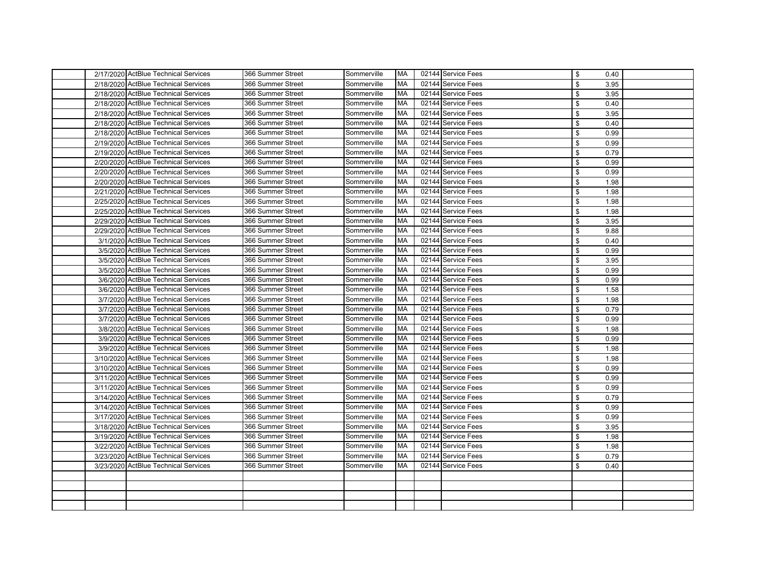|  | 2/17/2020 ActBlue Technical Services | 366 Summer Street | Sommerville | <b>MA</b> | 02144 Service Fees | \$<br>0.40 |  |
|--|--------------------------------------|-------------------|-------------|-----------|--------------------|------------|--|
|  | 2/18/2020 ActBlue Technical Services | 366 Summer Street | Sommerville | МA        | 02144 Service Fees | \$<br>3.95 |  |
|  | 2/18/2020 ActBlue Technical Services | 366 Summer Street | Sommerville | MA        | 02144 Service Fees | \$<br>3.95 |  |
|  | 2/18/2020 ActBlue Technical Services | 366 Summer Street | Sommerville | МA        | 02144 Service Fees | 0.40<br>\$ |  |
|  | 2/18/2020 ActBlue Technical Services | 366 Summer Street | Sommerville | МA        | 02144 Service Fees | \$<br>3.95 |  |
|  | 2/18/2020 ActBlue Technical Services | 366 Summer Street | Sommerville | МA        | 02144 Service Fees | \$<br>0.40 |  |
|  | 2/18/2020 ActBlue Technical Services | 366 Summer Street | Sommerville | МA        | 02144 Service Fees | \$<br>0.99 |  |
|  | 2/19/2020 ActBlue Technical Services | 366 Summer Street | Sommerville | МA        | 02144 Service Fees | \$<br>0.99 |  |
|  | 2/19/2020 ActBlue Technical Services | 366 Summer Street | Sommerville | МA        | 02144 Service Fees | \$<br>0.79 |  |
|  | 2/20/2020 ActBlue Technical Services | 366 Summer Street | Sommerville | МA        | 02144 Service Fees | \$<br>0.99 |  |
|  | 2/20/2020 ActBlue Technical Services | 366 Summer Street | Sommerville | МA        | 02144 Service Fees | \$<br>0.99 |  |
|  | 2/20/2020 ActBlue Technical Services | 366 Summer Street | Sommerville | МA        | 02144 Service Fees | \$<br>1.98 |  |
|  | 2/21/2020 ActBlue Technical Services | 366 Summer Street | Sommerville | МA        | 02144 Service Fees | \$<br>1.98 |  |
|  | 2/25/2020 ActBlue Technical Services | 366 Summer Street | Sommerville | МA        | 02144 Service Fees | \$<br>1.98 |  |
|  | 2/25/2020 ActBlue Technical Services | 366 Summer Street | Sommerville | МA        | 02144 Service Fees | \$<br>1.98 |  |
|  | 2/29/2020 ActBlue Technical Services | 366 Summer Street | Sommerville | МA        | 02144 Service Fees | 3.95<br>\$ |  |
|  | 2/29/2020 ActBlue Technical Services | 366 Summer Street | Sommerville | МA        | 02144 Service Fees | \$<br>9.88 |  |
|  | 3/1/2020 ActBlue Technical Services  | 366 Summer Street | Sommerville | МA        | 02144 Service Fees | \$<br>0.40 |  |
|  | 3/5/2020 ActBlue Technical Services  | 366 Summer Street | Sommerville | МA        | 02144 Service Fees | \$<br>0.99 |  |
|  | 3/5/2020 ActBlue Technical Services  | 366 Summer Street | Sommerville | МA        | 02144 Service Fees | \$<br>3.95 |  |
|  | 3/5/2020 ActBlue Technical Services  | 366 Summer Street | Sommerville | МA        | 02144 Service Fees | \$<br>0.99 |  |
|  | 3/6/2020 ActBlue Technical Services  | 366 Summer Street | Sommerville | МA        | 02144 Service Fees | \$<br>0.99 |  |
|  | 3/6/2020 ActBlue Technical Services  | 366 Summer Street | Sommerville | МA        | 02144 Service Fees | \$<br>1.58 |  |
|  | 3/7/2020 ActBlue Technical Services  | 366 Summer Street | Sommerville | МA        | 02144 Service Fees | \$<br>1.98 |  |
|  | 3/7/2020 ActBlue Technical Services  | 366 Summer Street | Sommerville | МA        | 02144 Service Fees | \$<br>0.79 |  |
|  | 3/7/2020 ActBlue Technical Services  | 366 Summer Street | Sommerville | МA        | 02144 Service Fees | \$<br>0.99 |  |
|  | 3/8/2020 ActBlue Technical Services  | 366 Summer Street | Sommerville | МA        | 02144 Service Fees | \$<br>1.98 |  |
|  | 3/9/2020 ActBlue Technical Services  | 366 Summer Street | Sommerville | МA        | 02144 Service Fees | 0.99<br>\$ |  |
|  | 3/9/2020 ActBlue Technical Services  | 366 Summer Street | Sommerville | МA        | 02144 Service Fees | \$<br>1.98 |  |
|  | 3/10/2020 ActBlue Technical Services | 366 Summer Street | Sommerville | МA        | 02144 Service Fees | \$<br>1.98 |  |
|  | 3/10/2020 ActBlue Technical Services | 366 Summer Street | Sommerville | МA        | 02144 Service Fees | \$<br>0.99 |  |
|  | 3/11/2020 ActBlue Technical Services | 366 Summer Street | Sommerville | МA        | 02144 Service Fees | \$<br>0.99 |  |
|  | 3/11/2020 ActBlue Technical Services | 366 Summer Street | Sommerville | МA        | 02144 Service Fees | \$<br>0.99 |  |
|  | 3/14/2020 ActBlue Technical Services | 366 Summer Street | Sommerville | МA        | 02144 Service Fees | \$<br>0.79 |  |
|  | 3/14/2020 ActBlue Technical Services | 366 Summer Street | Sommerville | МA        | 02144 Service Fees | \$<br>0.99 |  |
|  | 3/17/2020 ActBlue Technical Services | 366 Summer Street | Sommerville | МA        | 02144 Service Fees | \$<br>0.99 |  |
|  | 3/18/2020 ActBlue Technical Services | 366 Summer Street | Sommerville | МA        | 02144 Service Fees | \$<br>3.95 |  |
|  | 3/19/2020 ActBlue Technical Services | 366 Summer Street | Sommerville | МA        | 02144 Service Fees | \$<br>1.98 |  |
|  | 3/22/2020 ActBlue Technical Services | 366 Summer Street | Sommerville | МA        | 02144 Service Fees | \$<br>1.98 |  |
|  | 3/23/2020 ActBlue Technical Services | 366 Summer Street | Sommerville | МA        | 02144 Service Fees | 0.79<br>\$ |  |
|  | 3/23/2020 ActBlue Technical Services | 366 Summer Street | Sommerville | МA        | 02144 Service Fees | \$<br>0.40 |  |
|  |                                      |                   |             |           |                    |            |  |
|  |                                      |                   |             |           |                    |            |  |
|  |                                      |                   |             |           |                    |            |  |
|  |                                      |                   |             |           |                    |            |  |